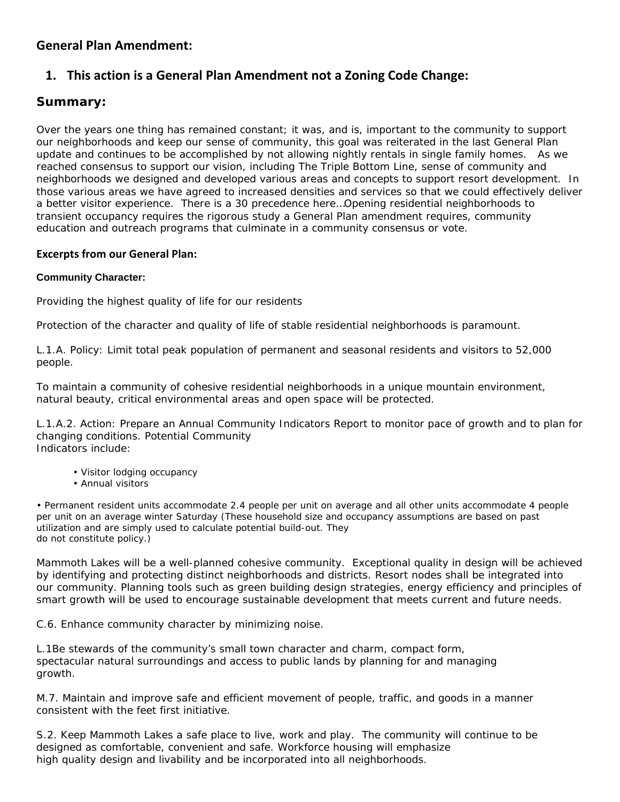# **General Plan Amendment:**

# **1. This action is a General Plan Amendment not a Zoning Code Change:**

# **Summary:**

Over the years one thing has remained constant; it was, and is, important to the community to support our neighborhoods and keep our sense of community, this goal was reiterated in the last General Plan update and continues to be accomplished by not allowing nightly rentals in single family homes. As we reached consensus to support our vision, including The Triple Bottom Line, sense of community and neighborhoods we designed and developed various areas and concepts to support resort development. In those various areas we have agreed to increased densities and services so that we could effectively deliver a better visitor experience. There is a 30 precedence here…Opening residential neighborhoods to transient occupancy requires the rigorous study a General Plan amendment requires, community education and outreach programs that culminate in a community consensus or vote.

### **Excerpts from our General Plan:**

### **Community Character:**

Providing the highest quality of life for our residents

Protection of the character and quality of life of stable residential neighborhoods is paramount.

L.1.A. Policy: Limit total peak population of permanent and seasonal residents and visitors to 52,000 people.

To maintain a community of cohesive residential neighborhoods in a unique mountain environment, natural beauty, critical environmental areas and open space will be protected.

L.1.A.2. Action: Prepare an Annual Community Indicators Report to monitor pace of growth and to plan for changing conditions. Potential Community Indicators include:

- Visitor lodging occupancy
- Annual visitors

• Permanent resident units accommodate 2.4 people per unit on average and all other units accommodate 4 people per unit on an average winter Saturday (These household size and occupancy assumptions are based on past utilization and are simply used to calculate potential build-out. They do not constitute policy.)

Mammoth Lakes will be a well-planned cohesive community. Exceptional quality in design will be achieved by identifying and protecting distinct neighborhoods and districts. Resort nodes shall be integrated into our community. Planning tools such as green building design strategies, energy efficiency and principles of smart growth will be used to encourage sustainable development that meets current and future needs.

C.6. Enhance community character by minimizing noise.

L.1Be stewards of the community's small town character and charm, compact form, spectacular natural surroundings and access to public lands by planning for and managing growth.

M.7. Maintain and improve safe and efficient movement of people, traffic, and goods in a manner consistent with the feet first initiative.

S.2. Keep Mammoth Lakes a safe place to live, work and play. The community will continue to be designed as comfortable, convenient and safe. Workforce housing will emphasize high quality design and livability and be incorporated into all neighborhoods.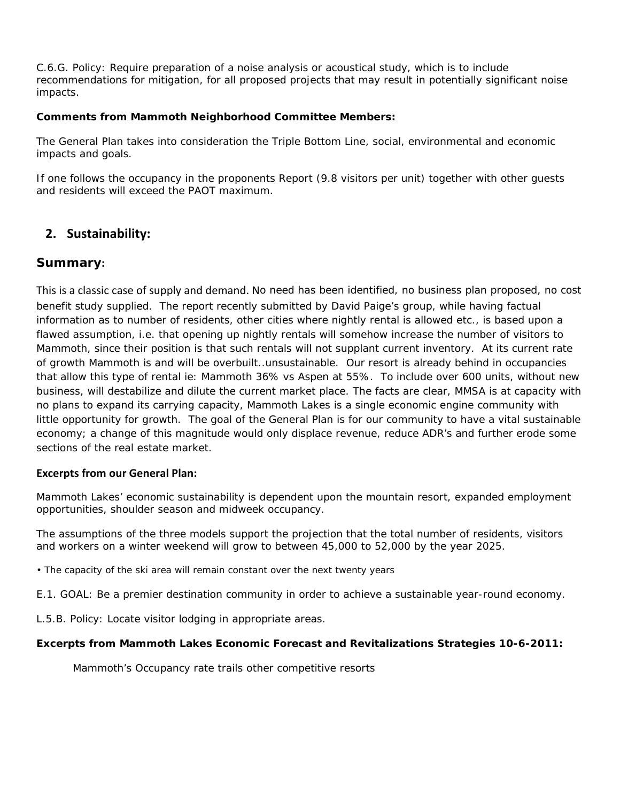C.6.G. Policy: Require preparation of a noise analysis or acoustical study, which is to include recommendations for mitigation, for all proposed projects that may result in potentially significant noise impacts.

### **Comments from Mammoth Neighborhood Committee Members:**

The General Plan takes into consideration the Triple Bottom Line, social, environmental and economic impacts and goals.

If one follows the occupancy in the proponents Report (9.8 visitors per unit) together with other guests and residents will exceed the PAOT maximum.

# **2. Sustainability:**

## **Summary:**

This is a classic case of supply and demand. No need has been identified, no business plan proposed, no cost benefit study supplied. The report recently submitted by David Paige's group, while having factual information as to number of residents, other cities where nightly rental is allowed etc., is based upon a flawed assumption, i.e. that opening up nightly rentals will somehow increase the number of visitors to Mammoth, since their position is that such rentals will not supplant current inventory. At its current rate of growth Mammoth is and will be overbuilt..unsustainable. Our resort is already behind in occupancies that allow this type of rental ie: Mammoth 36% vs Aspen at 55%. To include over 600 units, without new business, will destabilize and dilute the current market place. The facts are clear, MMSA is at capacity with no plans to expand its carrying capacity, Mammoth Lakes is a single economic engine community with little opportunity for growth. The goal of the General Plan is for our community to have a vital sustainable economy; a change of this magnitude would only displace revenue, reduce ADR's and further erode some sections of the real estate market.

### **Excerpts from our General Plan:**

Mammoth Lakes' economic sustainability is dependent upon the mountain resort, expanded employment opportunities, shoulder season and midweek occupancy.

The assumptions of the three models support the projection that the total number of residents, visitors and workers on a winter weekend will grow to between 45,000 to 52,000 by the year 2025.

• The capacity of the ski area will remain constant over the next twenty years

E.1. GOAL: Be a premier destination community in order to achieve a sustainable year-round economy.

L.5.B. Policy: Locate visitor lodging in appropriate areas.

### **Excerpts from Mammoth Lakes Economic Forecast and Revitalizations Strategies 10-6-2011:**

Mammoth's Occupancy rate trails other competitive resorts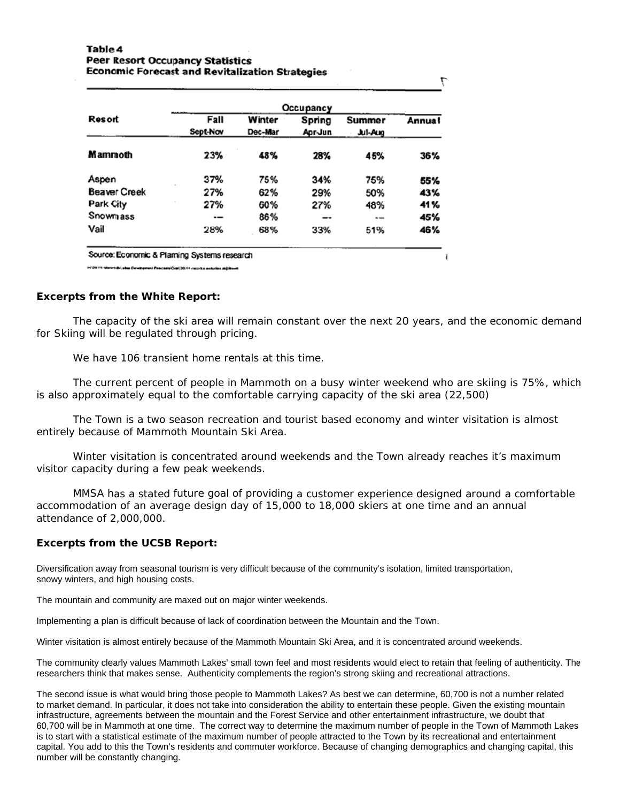#### Table 4 **Peer Resort Occupancy Statistics Economic Forecast and Revitalization Strategies**

| Occupancy                          |            |
|------------------------------------|------------|
| Spring<br>Summer                   | Annual     |
| Apr-Jun<br><b>Jul-Aug</b>          |            |
| 28%<br>45%                         | 36%        |
| 34%<br>75%                         | 55%        |
| 29%<br>50%                         | 43%        |
| 27%<br>48%                         | 41%        |
| $\qquad \qquad \blacksquare$<br>-- | 45%        |
|                                    | 46%        |
|                                    | 33%<br>51% |

viribi, abm Cevatoreni Pangasa (Cepi) 2011 yang kamada

#### **Excerpts from the White Report:**

The capacity of the ski area will remain constant over the next 20 years, and the economic demand for Skiing will be regulated through pricing.

7

We have 106 transient home rentals at this time.

The current percent of people in Mammoth on a busy winter weekend who are skiing is 75%, which is also approximately equal to the comfortable carrying capacity of the ski area (22,500)

The Town is a two season recreation and tourist based economy and winter visitation is almost entirely because of Mammoth Mountain Ski Area.

Winter visitation is concentrated around weekends and the Town already reaches it's maximum visitor capacity during a few peak weekends.

MMSA has a stated future goal of providing a customer experience designed around a comfortable accommodation of an average design day of 15,000 to 18,000 skiers at one time and an annual attendance of 2,000,000.

#### **Excerpts from the UCSB Report:**

Diversification away from seasonal tourism is very difficult because of the community's isolation, limited transportation, snowy winters, and high housing costs.

The mountain and community are maxed out on major winter weekends.

Implementing a plan is difficult because of lack of coordination between the Mountain and the Town.

Winter visitation is almost entirely because of the Mammoth Mountain Ski Area, and it is concentrated around weekends.

The community clearly values Mammoth Lakes' small town feel and most residents would elect to retain that feeling of authenticity. The researchers think that makes sense. Authenticity complements the region's strong skiing and recreational attractions.

The second issue is what would bring those people to Mammoth Lakes? As best we can determine, 60,700 is not a number related to market demand. In particular, it does not take into consideration the ability to entertain these people. Given the existing mountain infrastructure, agreements between the mountain and the Forest Service and other entertainment infrastructure, we doubt that 60,700 will be in Mammoth at one time. The correct way to determine the maximum number of people in the Town of Mammoth Lakes is to start with a statistical estimate of the maximum number of people attracted to the Town by its recreational and entertainment capital. You add to this the Town's residents and commuter workforce. Because of changing demographics and changing capital, this number will be constantly changing.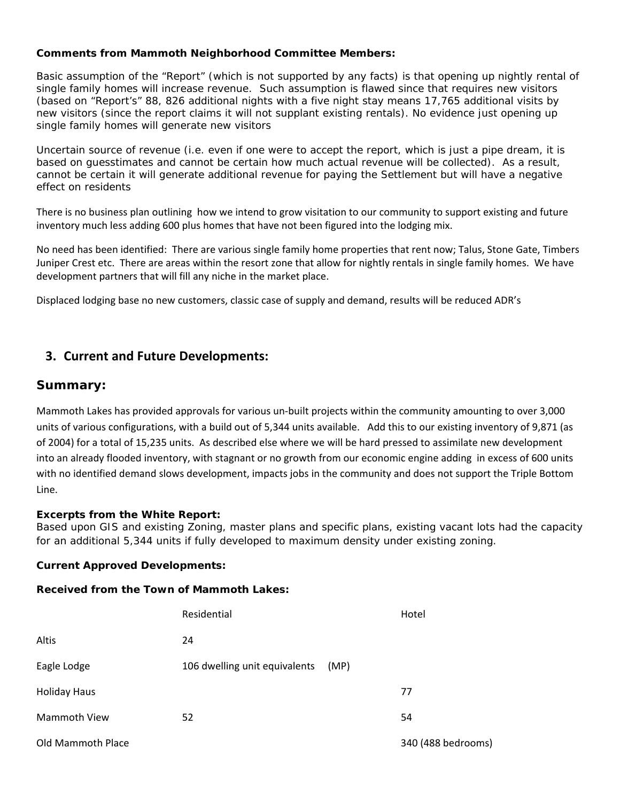### **Comments from Mammoth Neighborhood Committee Members:**

Basic assumption of the "Report" (which is not supported by any facts) is that opening up nightly rental of single family homes will increase revenue. Such assumption is flawed since that requires new visitors (based on "Report's" 88, 826 additional nights with a five night stay means 17,765 additional visits by new visitors (since the report claims it will not supplant existing rentals). No evidence just opening up single family homes will generate new visitors

Uncertain source of revenue (i.e. even if one were to accept the report, which is just a pipe dream, it is based on guesstimates and cannot be certain how much actual revenue will be collected). As a result, cannot be certain it will generate additional revenue for paying the Settlement but will have a negative effect on residents

There is no business plan outlining how we intend to grow visitation to our community to support existing and future inventory much less adding 600 plus homes that have not been figured into the lodging mix.

No need has been identified: There are various single family home properties that rent now; Talus, Stone Gate, Timbers Juniper Crest etc. There are areas within the resort zone that allow for nightly rentals in single family homes. We have development partners that will fill any niche in the market place.

Displaced lodging base no new customers, classic case of supply and demand, results will be reduced ADR's

## **3. Current and Future Developments:**

### **Summary:**

Mammoth Lakes has provided approvals for various un‐built projects within the community amounting to over 3,000 units of various configurations, with a build out of 5,344 units available. Add this to our existing inventory of 9,871 (as of 2004) for a total of 15,235 units. As described else where we will be hard pressed to assimilate new development into an already flooded inventory, with stagnant or no growth from our economic engine adding in excess of 600 units with no identified demand slows development, impacts jobs in the community and does not support the Triple Bottom Line.

### **Excerpts from the White Report:**

Based upon GIS and existing Zoning, master plans and specific plans, existing vacant lots had the capacity for an additional 5,344 units if fully developed to maximum density under existing zoning.

#### **Current Approved Developments:**

#### **Received from the Town of Mammoth Lakes:**

|                     | Residential                           | Hotel              |
|---------------------|---------------------------------------|--------------------|
| Altis               | 24                                    |                    |
| Eagle Lodge         | 106 dwelling unit equivalents<br>(MP) |                    |
| <b>Holiday Haus</b> |                                       | 77                 |
| Mammoth View        | 52                                    | 54                 |
| Old Mammoth Place   |                                       | 340 (488 bedrooms) |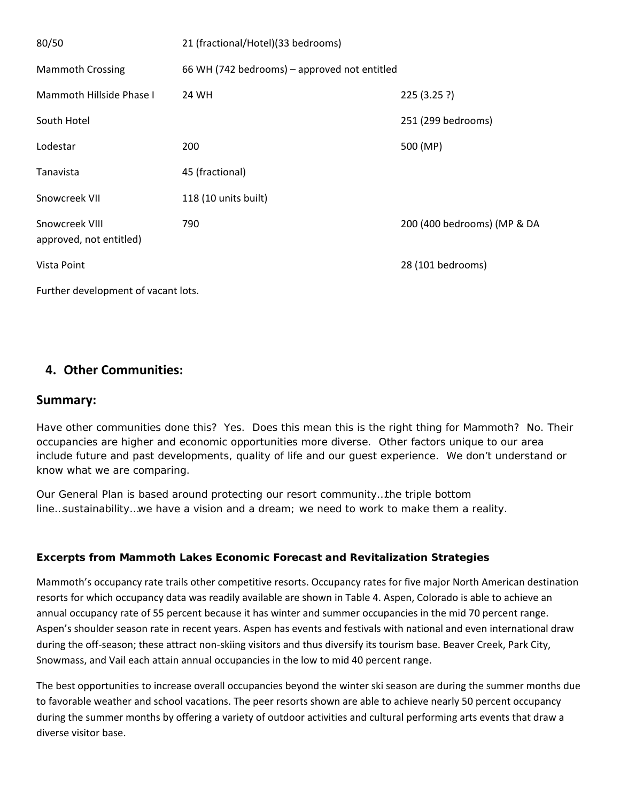| 80/50                                     | 21 (fractional/Hotel)(33 bedrooms)           |                             |  |  |
|-------------------------------------------|----------------------------------------------|-----------------------------|--|--|
| <b>Mammoth Crossing</b>                   | 66 WH (742 bedrooms) – approved not entitled |                             |  |  |
| Mammoth Hillside Phase I                  | 24 WH                                        | 225(3.25?)                  |  |  |
| South Hotel                               |                                              | 251 (299 bedrooms)          |  |  |
| Lodestar                                  | 200                                          | 500 (MP)                    |  |  |
| Tanavista                                 | 45 (fractional)                              |                             |  |  |
| Snowcreek VII                             | 118 (10 units built)                         |                             |  |  |
| Snowcreek VIII<br>approved, not entitled) | 790                                          | 200 (400 bedrooms) (MP & DA |  |  |
| Vista Point                               |                                              | 28 (101 bedrooms)           |  |  |
| Further development of vacant lots.       |                                              |                             |  |  |

# **4. Other Communities:**

## **Summary:**

Have other communities done this? Yes. Does this mean this is the right thing for Mammoth? No. Their occupancies are higher and economic opportunities more diverse. Other factors unique to our area include future and past developments, quality of life and our guest experience. We don't understand or know what we are comparing.

Our General Plan is based around protecting our resort community…the triple bottom line…sustainability…we have a vision and a dream; we need to work to make them a reality.

## **Excerpts from Mammoth Lakes Economic Forecast and Revitalization Strategies**

Mammoth's occupancy rate trails other competitive resorts. Occupancy rates for five major North American destination resorts for which occupancy data was readily available are shown in Table 4. Aspen, Colorado is able to achieve an annual occupancy rate of 55 percent because it has winter and summer occupancies in the mid 70 percent range. Aspen's shoulder season rate in recent years. Aspen has events and festivals with national and even international draw during the off-season; these attract non-skiing visitors and thus diversify its tourism base. Beaver Creek, Park City, Snowmass, and Vail each attain annual occupancies in the low to mid 40 percent range.

The best opportunities to increase overall occupancies beyond the winter ski season are during the summer months due to favorable weather and school vacations. The peer resorts shown are able to achieve nearly 50 percent occupancy during the summer months by offering a variety of outdoor activities and cultural performing arts events that draw a diverse visitor base.